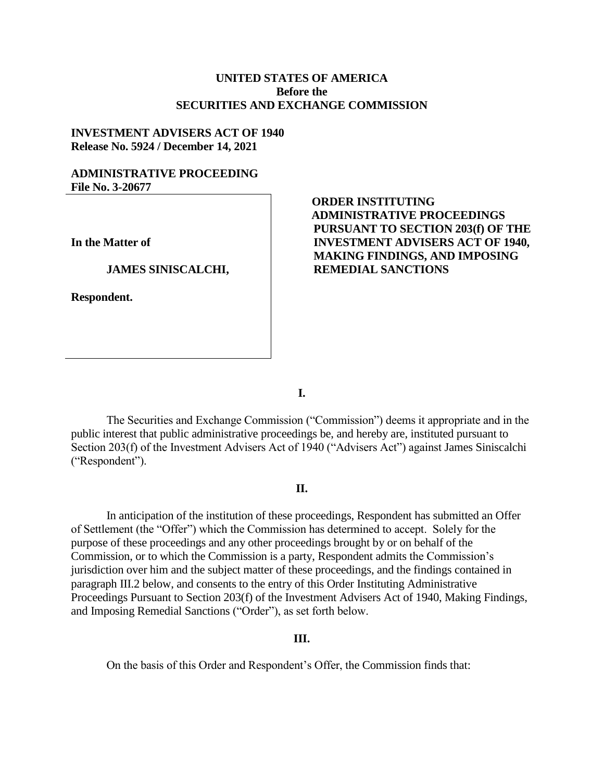## **UNITED STATES OF AMERICA Before the SECURITIES AND EXCHANGE COMMISSION**

## **INVESTMENT ADVISERS ACT OF 1940 Release No. 5924 / December 14, 2021**

## **ADMINISTRATIVE PROCEEDING File No. 3-20677**

**In the Matter of**

#### **JAMES SINISCALCHI,**

**Respondent.**

# **ORDER INSTITUTING ADMINISTRATIVE PROCEEDINGS PURSUANT TO SECTION 203(f) OF THE INVESTMENT ADVISERS ACT OF 1940, MAKING FINDINGS, AND IMPOSING REMEDIAL SANCTIONS**

**I.**

The Securities and Exchange Commission ("Commission") deems it appropriate and in the public interest that public administrative proceedings be, and hereby are, instituted pursuant to Section 203(f) of the Investment Advisers Act of 1940 ("Advisers Act") against James Siniscalchi ("Respondent").

## **II.**

In anticipation of the institution of these proceedings, Respondent has submitted an Offer of Settlement (the "Offer") which the Commission has determined to accept. Solely for the purpose of these proceedings and any other proceedings brought by or on behalf of the Commission, or to which the Commission is a party, Respondent admits the Commission's jurisdiction over him and the subject matter of these proceedings, and the findings contained in paragraph III.2 below, and consents to the entry of this Order Instituting Administrative Proceedings Pursuant to Section 203(f) of the Investment Advisers Act of 1940, Making Findings, and Imposing Remedial Sanctions ("Order"), as set forth below.

### **III.**

On the basis of this Order and Respondent's Offer, the Commission finds that: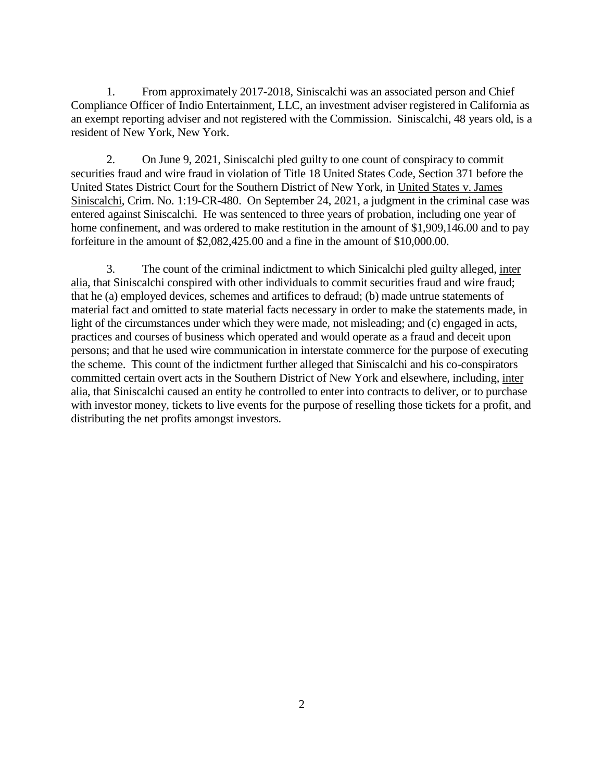1. From approximately 2017-2018, Siniscalchi was an associated person and Chief Compliance Officer of Indio Entertainment, LLC, an investment adviser registered in California as an exempt reporting adviser and not registered with the Commission. Siniscalchi, 48 years old, is a resident of New York, New York.

2. On June 9, 2021, Siniscalchi pled guilty to one count of conspiracy to commit securities fraud and wire fraud in violation of Title 18 United States Code, Section 371 before the United States District Court for the Southern District of New York, in United States v. James Siniscalchi, Crim. No. 1:19-CR-480. On September 24, 2021, a judgment in the criminal case was entered against Siniscalchi. He was sentenced to three years of probation, including one year of home confinement, and was ordered to make restitution in the amount of \$1,909,146.00 and to pay forfeiture in the amount of \$2,082,425.00 and a fine in the amount of \$10,000.00.

3. The count of the criminal indictment to which Sinicalchi pled guilty alleged, inter alia, that Siniscalchi conspired with other individuals to commit securities fraud and wire fraud; that he (a) employed devices, schemes and artifices to defraud; (b) made untrue statements of material fact and omitted to state material facts necessary in order to make the statements made, in light of the circumstances under which they were made, not misleading; and (c) engaged in acts, practices and courses of business which operated and would operate as a fraud and deceit upon persons; and that he used wire communication in interstate commerce for the purpose of executing the scheme. This count of the indictment further alleged that Siniscalchi and his co-conspirators committed certain overt acts in the Southern District of New York and elsewhere, including, inter alia, that Siniscalchi caused an entity he controlled to enter into contracts to deliver, or to purchase with investor money, tickets to live events for the purpose of reselling those tickets for a profit, and distributing the net profits amongst investors.